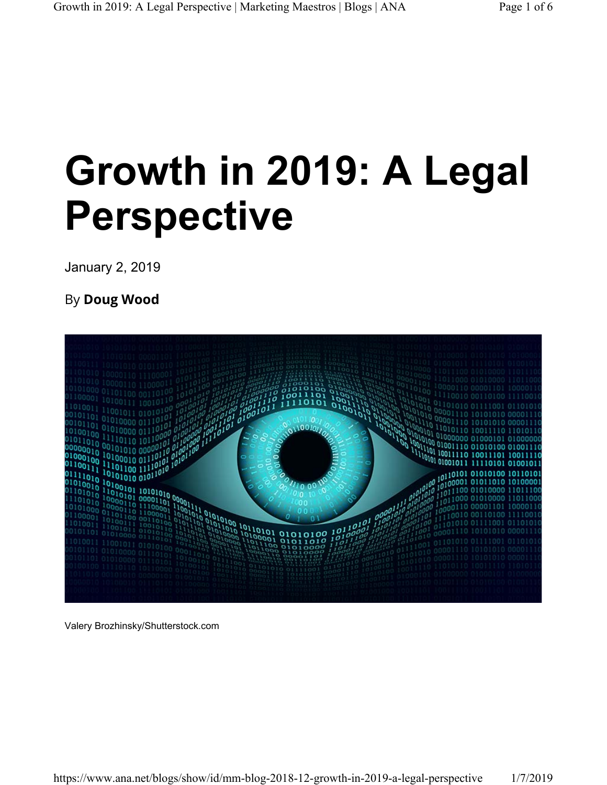# **Growth in 2019: A Legal Perspective**

January 2, 2019

By **Doug Wood**



Valery Brozhinsky/Shutterstock.com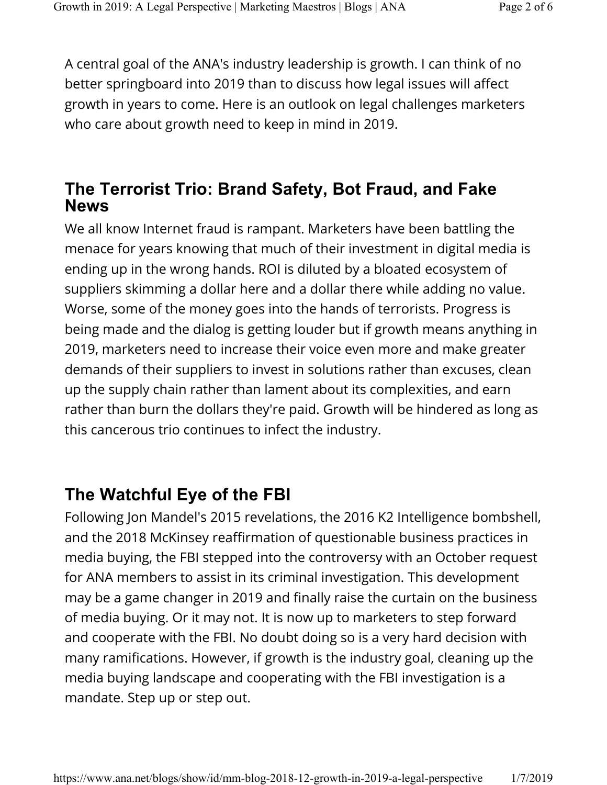A central goal of the ANA's industry leadership is growth. I can think of no better springboard into 2019 than to discuss how legal issues will affect growth in years to come. Here is an outlook on legal challenges marketers who care about growth need to keep in mind in 2019.

#### **The Terrorist Trio: Brand Safety, Bot Fraud, and Fake News**

We all know Internet fraud is rampant. Marketers have been battling the menace for years knowing that much of their investment in digital media is ending up in the wrong hands. ROI is diluted by a bloated ecosystem of suppliers skimming a dollar here and a dollar there while adding no value. Worse, some of the money goes into the hands of terrorists. Progress is being made and the dialog is getting louder but if growth means anything in 2019, marketers need to increase their voice even more and make greater demands of their suppliers to invest in solutions rather than excuses, clean up the supply chain rather than lament about its complexities, and earn rather than burn the dollars they're paid. Growth will be hindered as long as this cancerous trio continues to infect the industry.

## **The Watchful Eye of the FBI**

Following Jon Mandel's 2015 revelations, the 2016 K2 Intelligence bombshell, and the 2018 McKinsey reaffirmation of questionable business practices in media buying, the FBI stepped into the controversy with an October request for ANA members to assist in its criminal investigation. This development may be a game changer in 2019 and finally raise the curtain on the business of media buying. Or it may not. It is now up to marketers to step forward and cooperate with the FBI. No doubt doing so is a very hard decision with many ramifications. However, if growth is the industry goal, cleaning up the media buying landscape and cooperating with the FBI investigation is a mandate. Step up or step out.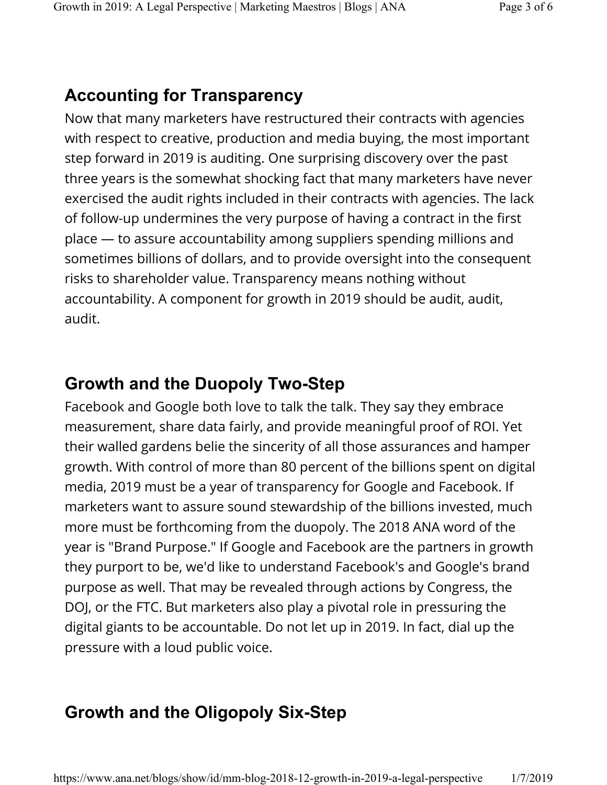## **Accounting for Transparency**

Now that many marketers have restructured their contracts with agencies with respect to creative, production and media buying, the most important step forward in 2019 is auditing. One surprising discovery over the past three years is the somewhat shocking fact that many marketers have never exercised the audit rights included in their contracts with agencies. The lack of follow-up undermines the very purpose of having a contract in the first place — to assure accountability among suppliers spending millions and sometimes billions of dollars, and to provide oversight into the consequent risks to shareholder value. Transparency means nothing without accountability. A component for growth in 2019 should be audit, audit, audit.

### **Growth and the Duopoly Two-Step**

Facebook and Google both love to talk the talk. They say they embrace measurement, share data fairly, and provide meaningful proof of ROI. Yet their walled gardens belie the sincerity of all those assurances and hamper growth. With control of more than 80 percent of the billions spent on digital media, 2019 must be a year of transparency for Google and Facebook. If marketers want to assure sound stewardship of the billions invested, much more must be forthcoming from the duopoly. The 2018 ANA word of the year is "Brand Purpose." If Google and Facebook are the partners in growth they purport to be, we'd like to understand Facebook's and Google's brand purpose as well. That may be revealed through actions by Congress, the DOJ, or the FTC. But marketers also play a pivotal role in pressuring the digital giants to be accountable. Do not let up in 2019. In fact, dial up the pressure with a loud public voice.

# **Growth and the Oligopoly Six-Step**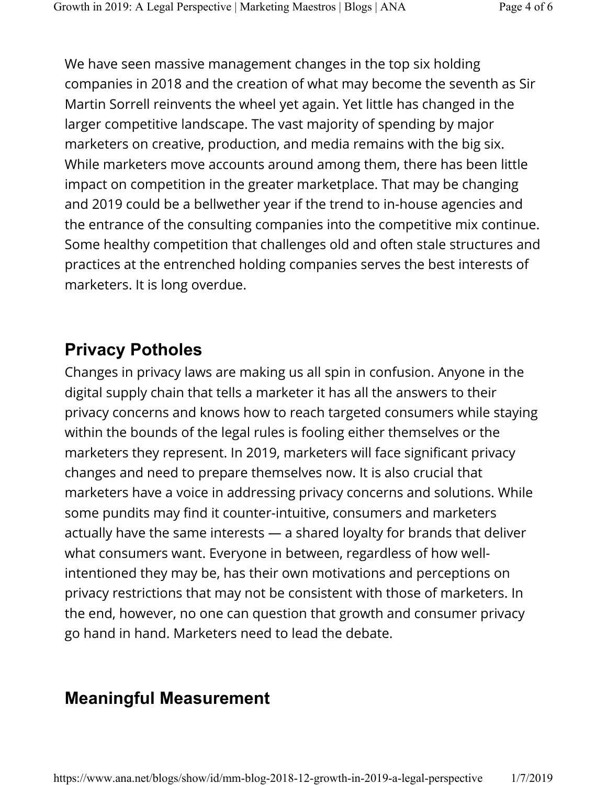We have seen massive management changes in the top six holding companies in 2018 and the creation of what may become the seventh as Sir Martin Sorrell reinvents the wheel yet again. Yet little has changed in the larger competitive landscape. The vast majority of spending by major marketers on creative, production, and media remains with the big six. While marketers move accounts around among them, there has been little impact on competition in the greater marketplace. That may be changing and 2019 could be a bellwether year if the trend to in-house agencies and the entrance of the consulting companies into the competitive mix continue. Some healthy competition that challenges old and often stale structures and practices at the entrenched holding companies serves the best interests of marketers. It is long overdue.

## **Privacy Potholes**

Changes in privacy laws are making us all spin in confusion. Anyone in the digital supply chain that tells a marketer it has all the answers to their privacy concerns and knows how to reach targeted consumers while staying within the bounds of the legal rules is fooling either themselves or the marketers they represent. In 2019, marketers will face significant privacy changes and need to prepare themselves now. It is also crucial that marketers have a voice in addressing privacy concerns and solutions. While some pundits may find it counter-intuitive, consumers and marketers actually have the same interests — a shared loyalty for brands that deliver what consumers want. Everyone in between, regardless of how wellintentioned they may be, has their own motivations and perceptions on privacy restrictions that may not be consistent with those of marketers. In the end, however, no one can question that growth and consumer privacy go hand in hand. Marketers need to lead the debate.

## **Meaningful Measurement**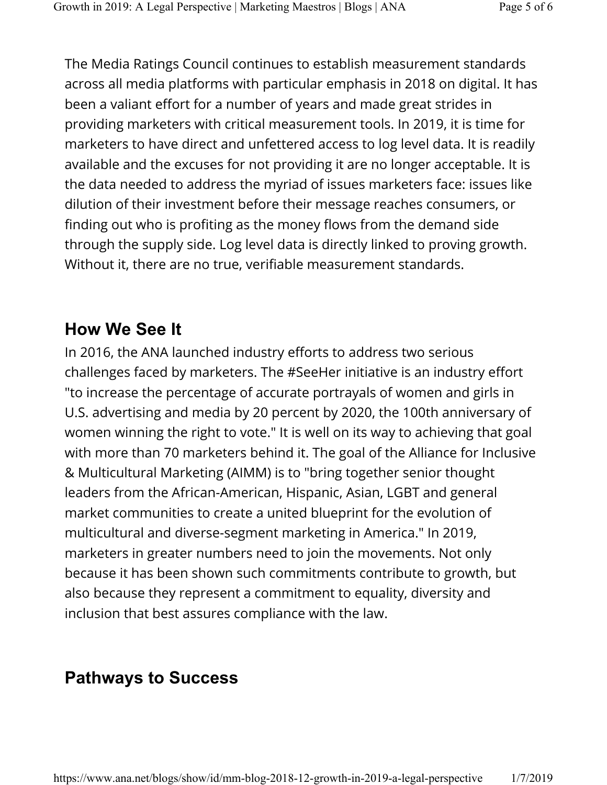The Media Ratings Council continues to establish measurement standards across all media platforms with particular emphasis in 2018 on digital. It has been a valiant effort for a number of years and made great strides in providing marketers with critical measurement tools. In 2019, it is time for marketers to have direct and unfettered access to log level data. It is readily available and the excuses for not providing it are no longer acceptable. It is the data needed to address the myriad of issues marketers face: issues like dilution of their investment before their message reaches consumers, or finding out who is profiting as the money flows from the demand side through the supply side. Log level data is directly linked to proving growth. Without it, there are no true, verifiable measurement standards.

## **How We See It**

In 2016, the ANA launched industry efforts to address two serious challenges faced by marketers. The #SeeHer initiative is an industry effort "to increase the percentage of accurate portrayals of women and girls in U.S. advertising and media by 20 percent by 2020, the 100th anniversary of women winning the right to vote." It is well on its way to achieving that goal with more than 70 marketers behind it. The goal of the Alliance for Inclusive & Multicultural Marketing (AIMM) is to "bring together senior thought leaders from the African-American, Hispanic, Asian, LGBT and general market communities to create a united blueprint for the evolution of multicultural and diverse-segment marketing in America." In 2019, marketers in greater numbers need to join the movements. Not only because it has been shown such commitments contribute to growth, but also because they represent a commitment to equality, diversity and inclusion that best assures compliance with the law.

## **Pathways to Success**